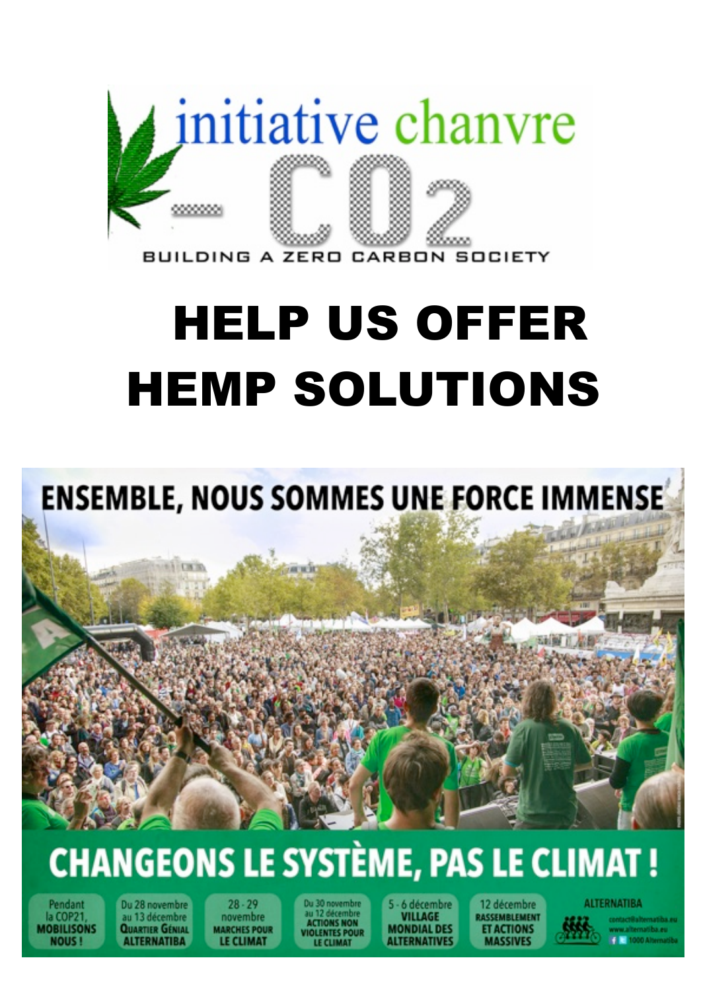

## **HELP US OFFER HEMP SOLUTIONS**

## **ENSEMBLE, NOUS SOMMES UNE FORCE IMMENSE**

**CONTRACTOR** 

## **CHANGEONS LE SYSTÈME, PAS LE CLIMAT!**

Pendant la COP21 **MOBILISONS NOUS** 

Du 28 novembre au 13 décembre **QUARTIER GÉNIAL ALTERNATIBA** 

**ATCK R** 

 $28 - 29$ novembre **MARCHES POUR LE CLIMAT** 

**ACTIONS NON** VIOLENTES POUR

· 6 décembre **VILLAGE MONDIAL DES ALTERNATIVES** 

12 décembre *<u>RASSEMBLEMENT</u>* **ET ACTIONS IASSIVES** 

**ALTERNATIBA**